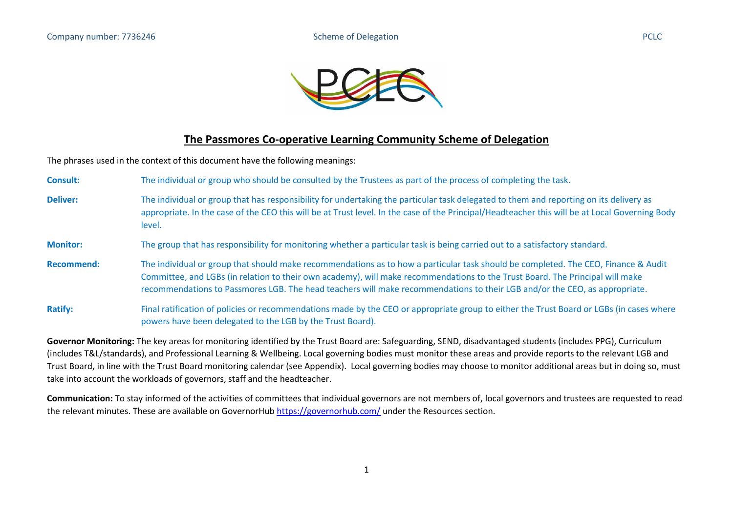

## **The Passmores Co-operative Learning Community Scheme of Delegation**

The phrases used in the context of this document have the following meanings:

**Consult:** The individual or group who should be consulted by the Trustees as part of the process of completing the task. **Deliver:** The individual or group that has responsibility for undertaking the particular task delegated to them and reporting on its delivery as appropriate. In the case of the CEO this will be at Trust level. In the case of the Principal/Headteacher this will be at Local Governing Body level. **Monitor:** The group that has responsibility for monitoring whether a particular task is being carried out to a satisfactory standard. **Recommend:** The individual or group that should make recommendations as to how a particular task should be completed. The CEO, Finance & Audit Committee, and LGBs (in relation to their own academy), will make recommendations to the Trust Board. The Principal will make recommendations to Passmores LGB. The head teachers will make recommendations to their LGB and/or the CEO, as appropriate. Ratify: Final ratification of policies or recommendations made by the CEO or appropriate group to either the Trust Board or LGBs (in cases where powers have been delegated to the LGB by the Trust Board).

**Governor Monitoring:** The key areas for monitoring identified by the Trust Board are: Safeguarding, SEND, disadvantaged students (includes PPG), Curriculum (includes T&L/standards), and Professional Learning & Wellbeing. Local governing bodies must monitor these areas and provide reports to the relevant LGB and Trust Board, in line with the Trust Board monitoring calendar (see Appendix). Local governing bodies may choose to monitor additional areas but in doing so, must take into account the workloads of governors, staff and the headteacher.

**Communication:** To stay informed of the activities of committees that individual governors are not members of, local governors and trustees are requested to read the relevant minutes. These are available on GovernorHub<https://governorhub.com/> under the Resources section.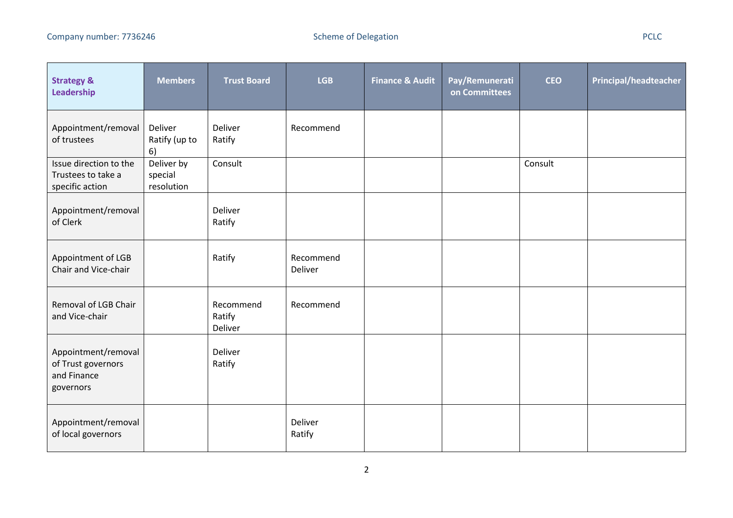| <b>Strategy &amp;</b><br>Leadership                                   | <b>Members</b>                      | <b>Trust Board</b>             | <b>LGB</b>           | <b>Finance &amp; Audit</b> | Pay/Remunerati<br>on Committees | <b>CEO</b> | Principal/headteacher |
|-----------------------------------------------------------------------|-------------------------------------|--------------------------------|----------------------|----------------------------|---------------------------------|------------|-----------------------|
| Appointment/removal<br>of trustees                                    | Deliver<br>Ratify (up to<br>6)      | Deliver<br>Ratify              | Recommend            |                            |                                 |            |                       |
| Issue direction to the<br>Trustees to take a<br>specific action       | Deliver by<br>special<br>resolution | Consult                        |                      |                            |                                 | Consult    |                       |
| Appointment/removal<br>of Clerk                                       |                                     | Deliver<br>Ratify              |                      |                            |                                 |            |                       |
| Appointment of LGB<br>Chair and Vice-chair                            |                                     | Ratify                         | Recommend<br>Deliver |                            |                                 |            |                       |
| Removal of LGB Chair<br>and Vice-chair                                |                                     | Recommend<br>Ratify<br>Deliver | Recommend            |                            |                                 |            |                       |
| Appointment/removal<br>of Trust governors<br>and Finance<br>governors |                                     | Deliver<br>Ratify              |                      |                            |                                 |            |                       |
| Appointment/removal<br>of local governors                             |                                     |                                | Deliver<br>Ratify    |                            |                                 |            |                       |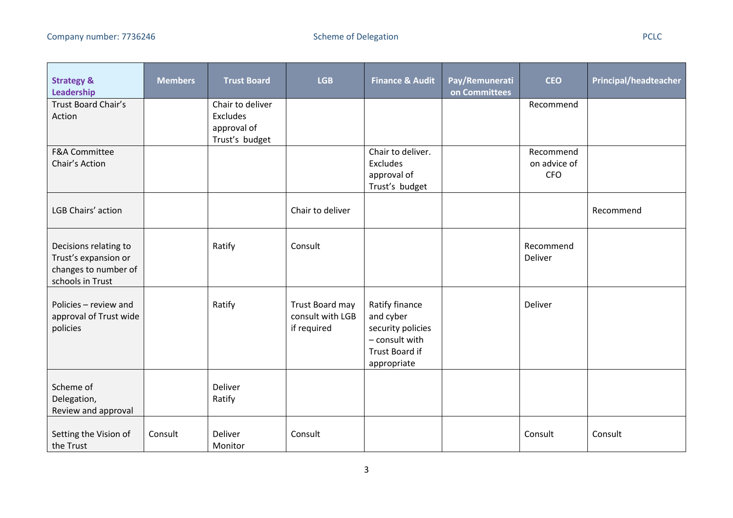| <b>Strategy &amp;</b><br>Leadership                                                       | <b>Members</b> | <b>Trust Board</b>                                            | <b>LGB</b>                                         | <b>Finance &amp; Audit</b>                                                                          | Pay/Remunerati<br>on Committees | <b>CEO</b>                              | <b>Principal/headteacher</b> |
|-------------------------------------------------------------------------------------------|----------------|---------------------------------------------------------------|----------------------------------------------------|-----------------------------------------------------------------------------------------------------|---------------------------------|-----------------------------------------|------------------------------|
| Trust Board Chair's<br>Action                                                             |                | Chair to deliver<br>Excludes<br>approval of<br>Trust's budget |                                                    |                                                                                                     |                                 | Recommend                               |                              |
| <b>F&amp;A Committee</b><br>Chair's Action                                                |                |                                                               |                                                    | Chair to deliver.<br>Excludes<br>approval of<br>Trust's budget                                      |                                 | Recommend<br>on advice of<br><b>CFO</b> |                              |
| LGB Chairs' action                                                                        |                |                                                               | Chair to deliver                                   |                                                                                                     |                                 |                                         | Recommend                    |
| Decisions relating to<br>Trust's expansion or<br>changes to number of<br>schools in Trust |                | Ratify                                                        | Consult                                            |                                                                                                     |                                 | Recommend<br>Deliver                    |                              |
| Policies - review and<br>approval of Trust wide<br>policies                               |                | Ratify                                                        | Trust Board may<br>consult with LGB<br>if required | Ratify finance<br>and cyber<br>security policies<br>- consult with<br>Trust Board if<br>appropriate |                                 | Deliver                                 |                              |
| Scheme of<br>Delegation,<br>Review and approval                                           |                | Deliver<br>Ratify                                             |                                                    |                                                                                                     |                                 |                                         |                              |
| Setting the Vision of<br>the Trust                                                        | Consult        | Deliver<br>Monitor                                            | Consult                                            |                                                                                                     |                                 | Consult                                 | Consult                      |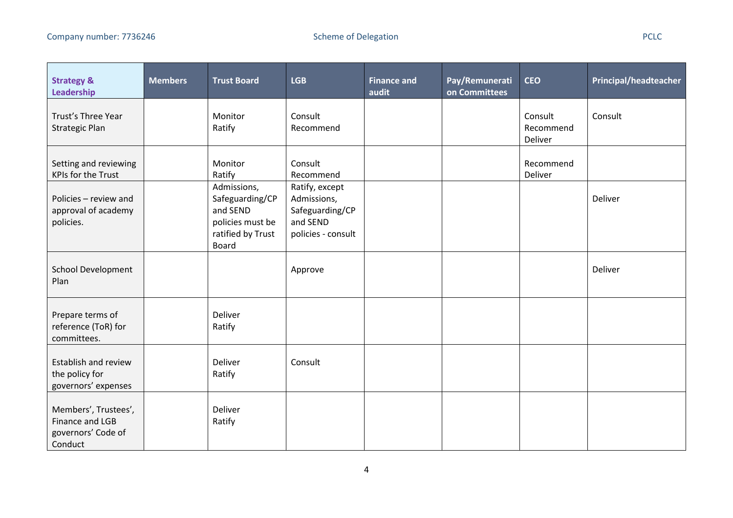| <b>Strategy &amp;</b><br>Leadership                                      | <b>Members</b> | <b>Trust Board</b>                                                                                  | <b>LGB</b>                                                                         | <b>Finance and</b><br>audit | Pay/Remunerati<br>on Committees | <b>CEO</b>                      | <b>Principal/headteacher</b> |
|--------------------------------------------------------------------------|----------------|-----------------------------------------------------------------------------------------------------|------------------------------------------------------------------------------------|-----------------------------|---------------------------------|---------------------------------|------------------------------|
| Trust's Three Year<br><b>Strategic Plan</b>                              |                | Monitor<br>Ratify                                                                                   | Consult<br>Recommend                                                               |                             |                                 | Consult<br>Recommend<br>Deliver | Consult                      |
| Setting and reviewing<br><b>KPIs for the Trust</b>                       |                | Monitor<br>Ratify                                                                                   | Consult<br>Recommend                                                               |                             |                                 | Recommend<br>Deliver            |                              |
| Policies - review and<br>approval of academy<br>policies.                |                | Admissions,<br>Safeguarding/CP<br>and SEND<br>policies must be<br>ratified by Trust<br><b>Board</b> | Ratify, except<br>Admissions,<br>Safeguarding/CP<br>and SEND<br>policies - consult |                             |                                 |                                 | Deliver                      |
| <b>School Development</b><br>Plan                                        |                |                                                                                                     | Approve                                                                            |                             |                                 |                                 | Deliver                      |
| Prepare terms of<br>reference (ToR) for<br>committees.                   |                | Deliver<br>Ratify                                                                                   |                                                                                    |                             |                                 |                                 |                              |
| Establish and review<br>the policy for<br>governors' expenses            |                | Deliver<br>Ratify                                                                                   | Consult                                                                            |                             |                                 |                                 |                              |
| Members', Trustees',<br>Finance and LGB<br>governors' Code of<br>Conduct |                | Deliver<br>Ratify                                                                                   |                                                                                    |                             |                                 |                                 |                              |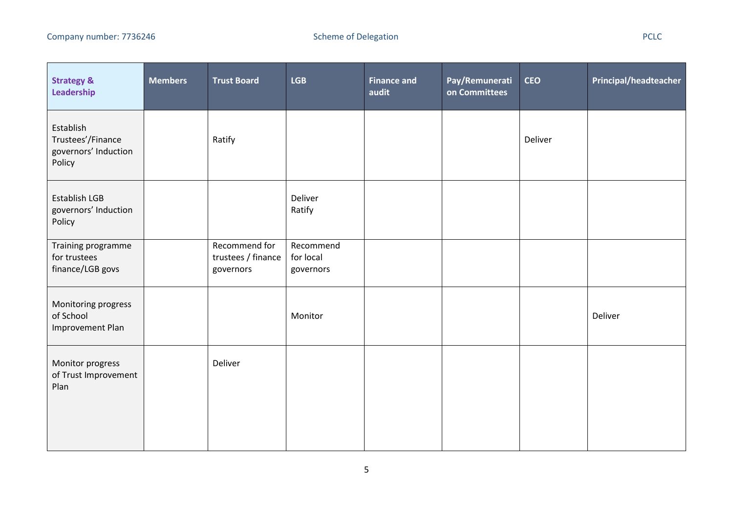| <b>Strategy &amp;</b><br>Leadership                              | <b>Members</b> | <b>Trust Board</b>                               | <b>LGB</b>                          | <b>Finance and</b><br>audit | Pay/Remunerati<br>on Committees | <b>CEO</b> | Principal/headteacher |
|------------------------------------------------------------------|----------------|--------------------------------------------------|-------------------------------------|-----------------------------|---------------------------------|------------|-----------------------|
| Establish<br>Trustees'/Finance<br>governors' Induction<br>Policy |                | Ratify                                           |                                     |                             |                                 | Deliver    |                       |
| Establish LGB<br>governors' Induction<br>Policy                  |                |                                                  | Deliver<br>Ratify                   |                             |                                 |            |                       |
| Training programme<br>for trustees<br>finance/LGB govs           |                | Recommend for<br>trustees / finance<br>governors | Recommend<br>for local<br>governors |                             |                                 |            |                       |
| Monitoring progress<br>of School<br>Improvement Plan             |                |                                                  | Monitor                             |                             |                                 |            | Deliver               |
| Monitor progress<br>of Trust Improvement<br>Plan                 |                | Deliver                                          |                                     |                             |                                 |            |                       |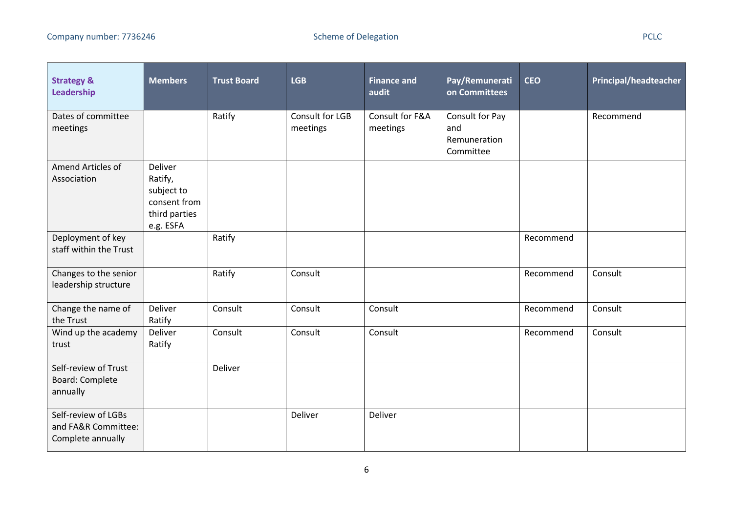| <b>Strategy &amp;</b><br>Leadership                             | <b>Members</b>                                                                 | <b>Trust Board</b> | <b>LGB</b>                  | <b>Finance and</b><br>audit | Pay/Remunerati<br>on Committees                     | <b>CEO</b> | <b>Principal/headteacher</b> |
|-----------------------------------------------------------------|--------------------------------------------------------------------------------|--------------------|-----------------------------|-----------------------------|-----------------------------------------------------|------------|------------------------------|
| Dates of committee<br>meetings                                  |                                                                                | Ratify             | Consult for LGB<br>meetings | Consult for F&A<br>meetings | Consult for Pay<br>and<br>Remuneration<br>Committee |            | Recommend                    |
| Amend Articles of<br>Association                                | Deliver<br>Ratify,<br>subject to<br>consent from<br>third parties<br>e.g. ESFA |                    |                             |                             |                                                     |            |                              |
| Deployment of key<br>staff within the Trust                     |                                                                                | Ratify             |                             |                             |                                                     | Recommend  |                              |
| Changes to the senior<br>leadership structure                   |                                                                                | Ratify             | Consult                     |                             |                                                     | Recommend  | Consult                      |
| Change the name of<br>the Trust                                 | Deliver<br>Ratify                                                              | Consult            | Consult                     | Consult                     |                                                     | Recommend  | Consult                      |
| Wind up the academy<br>trust                                    | Deliver<br>Ratify                                                              | Consult            | Consult                     | Consult                     |                                                     | Recommend  | Consult                      |
| Self-review of Trust<br><b>Board: Complete</b><br>annually      |                                                                                | Deliver            |                             |                             |                                                     |            |                              |
| Self-review of LGBs<br>and FA&R Committee:<br>Complete annually |                                                                                |                    | Deliver                     | Deliver                     |                                                     |            |                              |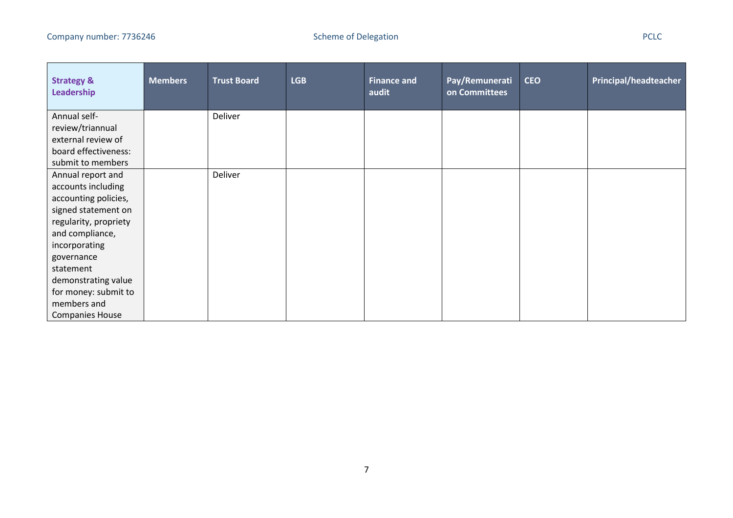| <b>Strategy &amp;</b><br>Leadership | <b>Members</b> | <b>Trust Board</b> | <b>LGB</b> | <b>Finance and</b><br>audit | Pay/Remunerati<br>on Committees | <b>CEO</b> | <b>Principal/headteacher</b> |
|-------------------------------------|----------------|--------------------|------------|-----------------------------|---------------------------------|------------|------------------------------|
| Annual self-                        |                | Deliver            |            |                             |                                 |            |                              |
| review/triannual                    |                |                    |            |                             |                                 |            |                              |
| external review of                  |                |                    |            |                             |                                 |            |                              |
| board effectiveness:                |                |                    |            |                             |                                 |            |                              |
| submit to members                   |                |                    |            |                             |                                 |            |                              |
| Annual report and                   |                | Deliver            |            |                             |                                 |            |                              |
| accounts including                  |                |                    |            |                             |                                 |            |                              |
| accounting policies,                |                |                    |            |                             |                                 |            |                              |
| signed statement on                 |                |                    |            |                             |                                 |            |                              |
| regularity, propriety               |                |                    |            |                             |                                 |            |                              |
| and compliance,                     |                |                    |            |                             |                                 |            |                              |
| incorporating                       |                |                    |            |                             |                                 |            |                              |
| governance                          |                |                    |            |                             |                                 |            |                              |
| statement                           |                |                    |            |                             |                                 |            |                              |
| demonstrating value                 |                |                    |            |                             |                                 |            |                              |
| for money: submit to                |                |                    |            |                             |                                 |            |                              |
| members and                         |                |                    |            |                             |                                 |            |                              |
| <b>Companies House</b>              |                |                    |            |                             |                                 |            |                              |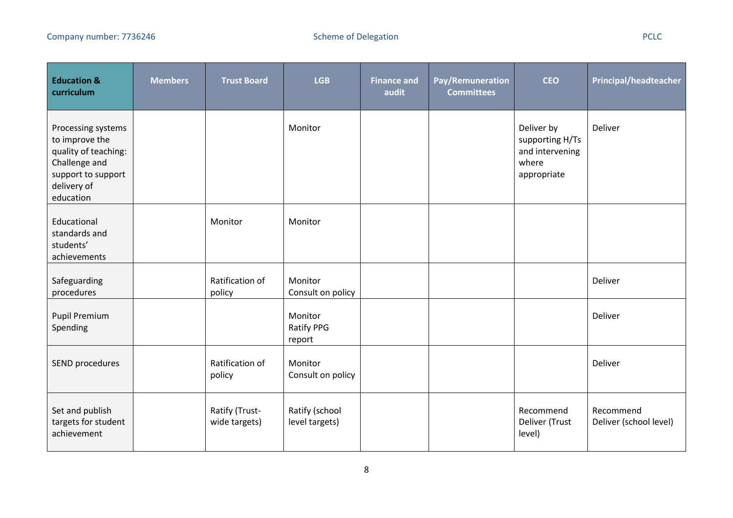÷

| <b>Education &amp;</b><br>curriculum                                                                                            | <b>Members</b> | <b>Trust Board</b>              | <b>LGB</b>                             | <b>Finance and</b><br>audit | Pay/Remuneration<br><b>Committees</b> | <b>CEO</b>                                                               | <b>Principal/headteacher</b>        |
|---------------------------------------------------------------------------------------------------------------------------------|----------------|---------------------------------|----------------------------------------|-----------------------------|---------------------------------------|--------------------------------------------------------------------------|-------------------------------------|
| Processing systems<br>to improve the<br>quality of teaching:<br>Challenge and<br>support to support<br>delivery of<br>education |                |                                 | Monitor                                |                             |                                       | Deliver by<br>supporting H/Ts<br>and intervening<br>where<br>appropriate | Deliver                             |
| Educational<br>standards and<br>students'<br>achievements                                                                       |                | Monitor                         | Monitor                                |                             |                                       |                                                                          |                                     |
| Safeguarding<br>procedures                                                                                                      |                | Ratification of<br>policy       | Monitor<br>Consult on policy           |                             |                                       |                                                                          | Deliver                             |
| <b>Pupil Premium</b><br>Spending                                                                                                |                |                                 | Monitor<br><b>Ratify PPG</b><br>report |                             |                                       |                                                                          | Deliver                             |
| SEND procedures                                                                                                                 |                | Ratification of<br>policy       | Monitor<br>Consult on policy           |                             |                                       |                                                                          | Deliver                             |
| Set and publish<br>targets for student<br>achievement                                                                           |                | Ratify (Trust-<br>wide targets) | Ratify (school<br>level targets)       |                             |                                       | Recommend<br>Deliver (Trust<br>level)                                    | Recommend<br>Deliver (school level) |

÷

a ka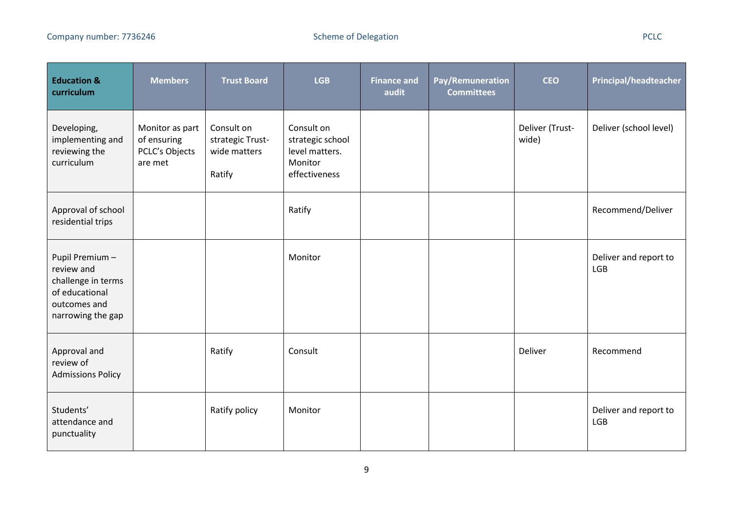| <b>Education &amp;</b><br>curriculum                                                                      | <b>Members</b>                                              | <b>Trust Board</b>                                       | <b>LGB</b>                                                                   | <b>Finance and</b><br>audit | Pay/Remuneration<br><b>Committees</b> | <b>CEO</b>               | <b>Principal/headteacher</b>        |
|-----------------------------------------------------------------------------------------------------------|-------------------------------------------------------------|----------------------------------------------------------|------------------------------------------------------------------------------|-----------------------------|---------------------------------------|--------------------------|-------------------------------------|
| Developing,<br>implementing and<br>reviewing the<br>curriculum                                            | Monitor as part<br>of ensuring<br>PCLC's Objects<br>are met | Consult on<br>strategic Trust-<br>wide matters<br>Ratify | Consult on<br>strategic school<br>level matters.<br>Monitor<br>effectiveness |                             |                                       | Deliver (Trust-<br>wide) | Deliver (school level)              |
| Approval of school<br>residential trips                                                                   |                                                             |                                                          | Ratify                                                                       |                             |                                       |                          | Recommend/Deliver                   |
| Pupil Premium-<br>review and<br>challenge in terms<br>of educational<br>outcomes and<br>narrowing the gap |                                                             |                                                          | Monitor                                                                      |                             |                                       |                          | Deliver and report to<br><b>LGB</b> |
| Approval and<br>review of<br><b>Admissions Policy</b>                                                     |                                                             | Ratify                                                   | Consult                                                                      |                             |                                       | Deliver                  | Recommend                           |
| Students'<br>attendance and<br>punctuality                                                                |                                                             | Ratify policy                                            | Monitor                                                                      |                             |                                       |                          | Deliver and report to<br>LGB        |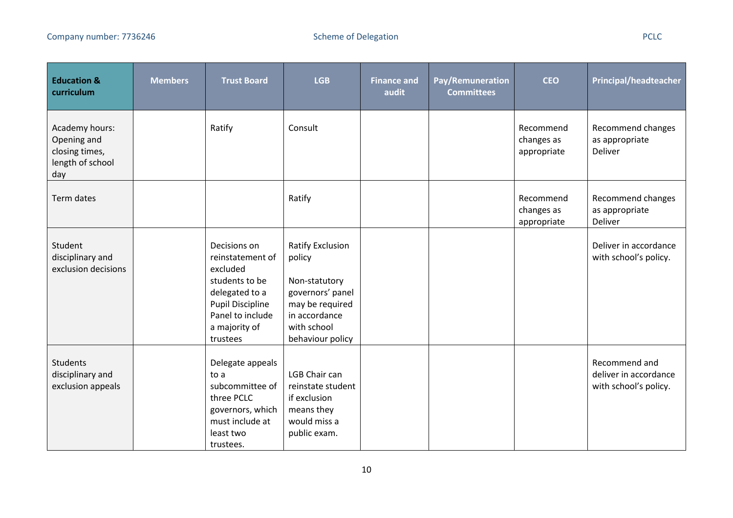| <b>Education &amp;</b><br>curriculum                                       | <b>Members</b> | <b>Trust Board</b>                                                                                                                                           | <b>LGB</b>                                                                                                                                    | <b>Finance and</b><br>audit | Pay/Remuneration<br><b>Committees</b> | <b>CEO</b>                             | <b>Principal/headteacher</b>                                    |
|----------------------------------------------------------------------------|----------------|--------------------------------------------------------------------------------------------------------------------------------------------------------------|-----------------------------------------------------------------------------------------------------------------------------------------------|-----------------------------|---------------------------------------|----------------------------------------|-----------------------------------------------------------------|
| Academy hours:<br>Opening and<br>closing times,<br>length of school<br>day |                | Ratify                                                                                                                                                       | Consult                                                                                                                                       |                             |                                       | Recommend<br>changes as<br>appropriate | Recommend changes<br>as appropriate<br>Deliver                  |
| Term dates                                                                 |                |                                                                                                                                                              | Ratify                                                                                                                                        |                             |                                       | Recommend<br>changes as<br>appropriate | Recommend changes<br>as appropriate<br>Deliver                  |
| Student<br>disciplinary and<br>exclusion decisions                         |                | Decisions on<br>reinstatement of<br>excluded<br>students to be<br>delegated to a<br><b>Pupil Discipline</b><br>Panel to include<br>a majority of<br>trustees | <b>Ratify Exclusion</b><br>policy<br>Non-statutory<br>governors' panel<br>may be required<br>in accordance<br>with school<br>behaviour policy |                             |                                       |                                        | Deliver in accordance<br>with school's policy.                  |
| Students<br>disciplinary and<br>exclusion appeals                          |                | Delegate appeals<br>to a<br>subcommittee of<br>three PCLC<br>governors, which<br>must include at<br>least two<br>trustees.                                   | <b>LGB Chair can</b><br>reinstate student<br>if exclusion<br>means they<br>would miss a<br>public exam.                                       |                             |                                       |                                        | Recommend and<br>deliver in accordance<br>with school's policy. |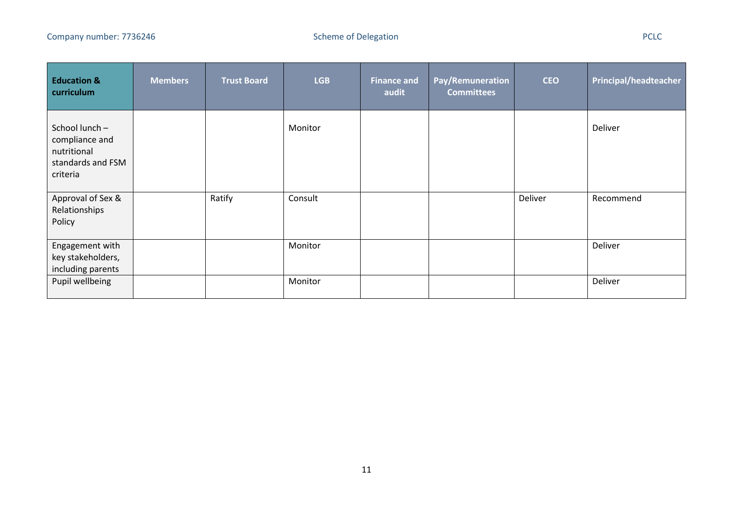- 1

| <b>Education &amp;</b><br>curriculum                                            | <b>Members</b> | <b>Trust Board</b> | <b>LGB</b> | <b>Finance and</b><br>audit | Pay/Remuneration<br><b>Committees</b> | <b>CEO</b> | <b>Principal/headteacher</b> |
|---------------------------------------------------------------------------------|----------------|--------------------|------------|-----------------------------|---------------------------------------|------------|------------------------------|
| School lunch-<br>compliance and<br>nutritional<br>standards and FSM<br>criteria |                |                    | Monitor    |                             |                                       |            | Deliver                      |
| Approval of Sex &<br>Relationships<br>Policy                                    |                | Ratify             | Consult    |                             |                                       | Deliver    | Recommend                    |
| Engagement with<br>key stakeholders,<br>including parents                       |                |                    | Monitor    |                             |                                       |            | Deliver                      |
| Pupil wellbeing                                                                 |                |                    | Monitor    |                             |                                       |            | Deliver                      |

- 1

- 1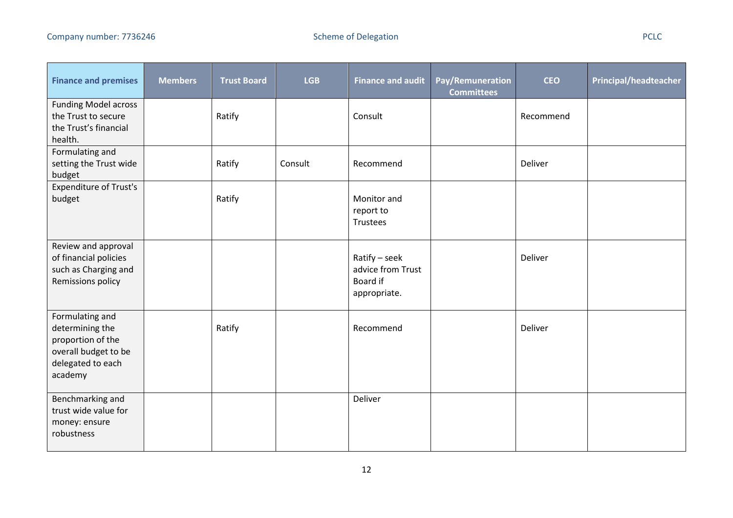| <b>Finance and premises</b>                                                                                     | <b>Members</b> | <b>Trust Board</b> | <b>LGB</b> | <b>Finance and audit</b>                                       | Pay/Remuneration<br><b>Committees</b> | <b>CEO</b> | <b>Principal/headteacher</b> |
|-----------------------------------------------------------------------------------------------------------------|----------------|--------------------|------------|----------------------------------------------------------------|---------------------------------------|------------|------------------------------|
| <b>Funding Model across</b><br>the Trust to secure<br>the Trust's financial<br>health.                          |                | Ratify             |            | Consult                                                        |                                       | Recommend  |                              |
| Formulating and<br>setting the Trust wide<br>budget                                                             |                | Ratify             | Consult    | Recommend                                                      |                                       | Deliver    |                              |
| <b>Expenditure of Trust's</b><br>budget                                                                         |                | Ratify             |            | Monitor and<br>report to<br>Trustees                           |                                       |            |                              |
| Review and approval<br>of financial policies<br>such as Charging and<br>Remissions policy                       |                |                    |            | Ratify - seek<br>advice from Trust<br>Board if<br>appropriate. |                                       | Deliver    |                              |
| Formulating and<br>determining the<br>proportion of the<br>overall budget to be<br>delegated to each<br>academy |                | Ratify             |            | Recommend                                                      |                                       | Deliver    |                              |
| Benchmarking and<br>trust wide value for<br>money: ensure<br>robustness                                         |                |                    |            | Deliver                                                        |                                       |            |                              |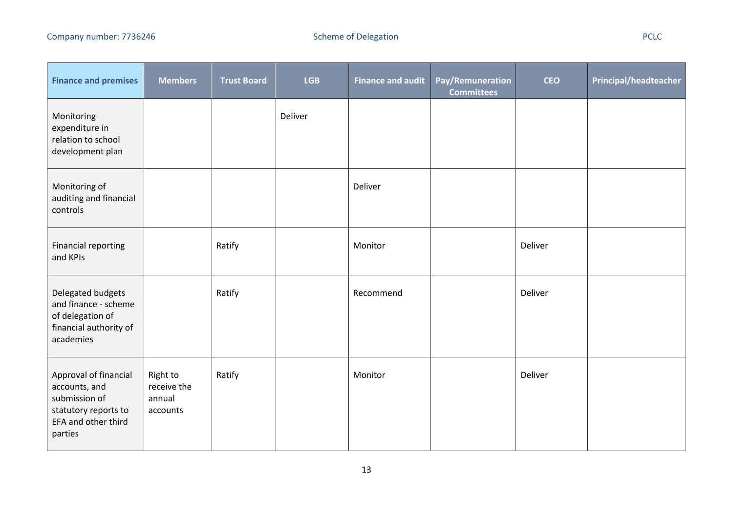and the control of

<u> 1989 - Jan Barnett, fransk politik (d. 19</u>

a ka

 $\mathcal{L}$ 

| <b>Finance and premises</b>                                                                                       | <b>Members</b>                                | <b>Trust Board</b> | <b>LGB</b> | <b>Finance and audit</b> | Pay/Remuneration<br><b>Committees</b> | <b>CEO</b> | Principal/headteacher |
|-------------------------------------------------------------------------------------------------------------------|-----------------------------------------------|--------------------|------------|--------------------------|---------------------------------------|------------|-----------------------|
| Monitoring<br>expenditure in<br>relation to school<br>development plan                                            |                                               |                    | Deliver    |                          |                                       |            |                       |
| Monitoring of<br>auditing and financial<br>controls                                                               |                                               |                    |            | Deliver                  |                                       |            |                       |
| <b>Financial reporting</b><br>and KPIs                                                                            |                                               | Ratify             |            | Monitor                  |                                       | Deliver    |                       |
| Delegated budgets<br>and finance - scheme<br>of delegation of<br>financial authority of<br>academies              |                                               | Ratify             |            | Recommend                |                                       | Deliver    |                       |
| Approval of financial<br>accounts, and<br>submission of<br>statutory reports to<br>EFA and other third<br>parties | Right to<br>receive the<br>annual<br>accounts | Ratify             |            | Monitor                  |                                       | Deliver    |                       |

<u> 1989 - Jan Barnett, martin de Barnett, martin de la partide de la partide de la partide de la partide de la p</u>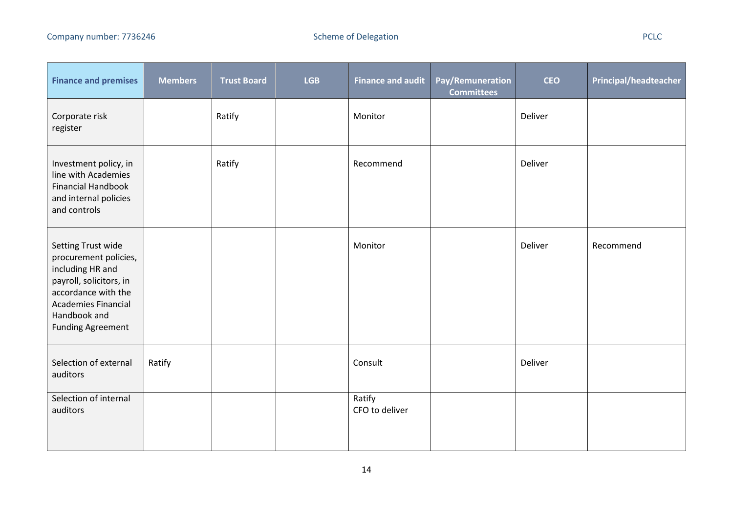<u> Tanzania (h. 1878).</u><br>Demografia

<u> a shekara t</u>

| <b>Finance and premises</b>                                                                                                                                                                 | <b>Members</b> | <b>Trust Board</b> | <b>LGB</b> | <b>Finance and audit</b> | Pay/Remuneration<br><b>Committees</b> | <b>CEO</b> | <b>Principal/headteacher</b> |
|---------------------------------------------------------------------------------------------------------------------------------------------------------------------------------------------|----------------|--------------------|------------|--------------------------|---------------------------------------|------------|------------------------------|
| Corporate risk<br>register                                                                                                                                                                  |                | Ratify             |            | Monitor                  |                                       | Deliver    |                              |
| Investment policy, in<br>line with Academies<br><b>Financial Handbook</b><br>and internal policies<br>and controls                                                                          |                | Ratify             |            | Recommend                |                                       | Deliver    |                              |
| Setting Trust wide<br>procurement policies,<br>including HR and<br>payroll, solicitors, in<br>accordance with the<br><b>Academies Financial</b><br>Handbook and<br><b>Funding Agreement</b> |                |                    |            | Monitor                  |                                       | Deliver    | Recommend                    |
| Selection of external<br>auditors                                                                                                                                                           | Ratify         |                    |            | Consult                  |                                       | Deliver    |                              |
| Selection of internal<br>auditors                                                                                                                                                           |                |                    |            | Ratify<br>CFO to deliver |                                       |            |                              |

 $\mathcal{L}$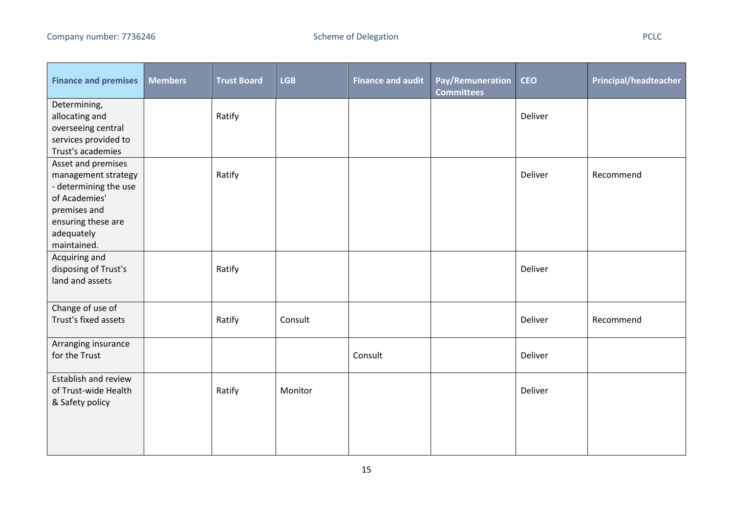- -

| <b>Finance and premises</b>                                                                                                                            | <b>Members</b> | <b>Trust Board</b> | <b>LGB</b> | <b>Finance and audit</b> | Pay/Remuneration<br><b>Committees</b> | <b>CEO</b> | <b>Principal/headteacher</b> |
|--------------------------------------------------------------------------------------------------------------------------------------------------------|----------------|--------------------|------------|--------------------------|---------------------------------------|------------|------------------------------|
| Determining,<br>allocating and<br>overseeing central<br>services provided to<br>Trust's academies                                                      |                | Ratify             |            |                          |                                       | Deliver    |                              |
| Asset and premises<br>management strategy<br>- determining the use<br>of Academies'<br>premises and<br>ensuring these are<br>adequately<br>maintained. |                | Ratify             |            |                          |                                       | Deliver    | Recommend                    |
| Acquiring and<br>disposing of Trust's<br>land and assets                                                                                               |                | Ratify             |            |                          |                                       | Deliver    |                              |
| Change of use of<br>Trust's fixed assets                                                                                                               |                | Ratify             | Consult    |                          |                                       | Deliver    | Recommend                    |
| Arranging insurance<br>for the Trust                                                                                                                   |                |                    |            | Consult                  |                                       | Deliver    |                              |
| Establish and review<br>of Trust-wide Health<br>& Safety policy                                                                                        |                | Ratify             | Monitor    |                          |                                       | Deliver    |                              |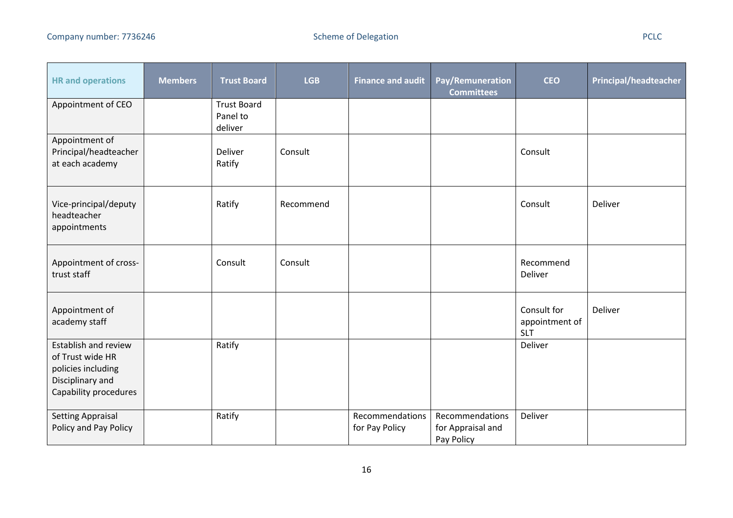$\overline{\phantom{0}}$ 

| <b>HR</b> and operations                                                                                    | <b>Members</b> | <b>Trust Board</b>                        | <b>LGB</b> | <b>Finance and audit</b>          | Pay/Remuneration<br><b>Committees</b>              | <b>CEO</b>                                  | <b>Principal/headteacher</b> |
|-------------------------------------------------------------------------------------------------------------|----------------|-------------------------------------------|------------|-----------------------------------|----------------------------------------------------|---------------------------------------------|------------------------------|
| Appointment of CEO                                                                                          |                | <b>Trust Board</b><br>Panel to<br>deliver |            |                                   |                                                    |                                             |                              |
| Appointment of<br>Principal/headteacher<br>at each academy                                                  |                | Deliver<br>Ratify                         | Consult    |                                   |                                                    | Consult                                     |                              |
| Vice-principal/deputy<br>headteacher<br>appointments                                                        |                | Ratify                                    | Recommend  |                                   |                                                    | Consult                                     | Deliver                      |
| Appointment of cross-<br>trust staff                                                                        |                | Consult                                   | Consult    |                                   |                                                    | Recommend<br>Deliver                        |                              |
| Appointment of<br>academy staff                                                                             |                |                                           |            |                                   |                                                    | Consult for<br>appointment of<br><b>SLT</b> | Deliver                      |
| Establish and review<br>of Trust wide HR<br>policies including<br>Disciplinary and<br>Capability procedures |                | Ratify                                    |            |                                   |                                                    | Deliver                                     |                              |
| <b>Setting Appraisal</b><br>Policy and Pay Policy                                                           |                | Ratify                                    |            | Recommendations<br>for Pay Policy | Recommendations<br>for Appraisal and<br>Pay Policy | Deliver                                     |                              |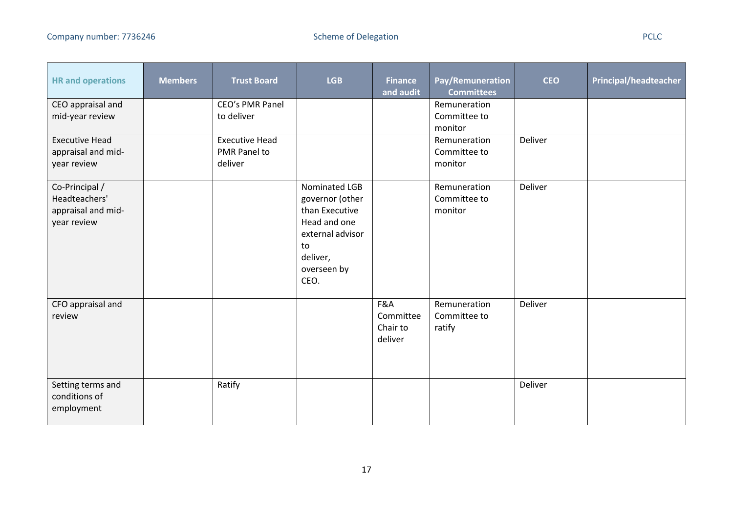- 1

and the control

| <b>HR</b> and operations                                             | <b>Members</b> | <b>Trust Board</b>            | <b>LGB</b>                                                                                                                      | <b>Finance</b><br>and audit             | Pay/Remuneration<br><b>Committees</b>   | <b>CEO</b> | <b>Principal/headteacher</b> |
|----------------------------------------------------------------------|----------------|-------------------------------|---------------------------------------------------------------------------------------------------------------------------------|-----------------------------------------|-----------------------------------------|------------|------------------------------|
| CEO appraisal and<br>mid-year review                                 |                | CEO's PMR Panel<br>to deliver |                                                                                                                                 |                                         | Remuneration<br>Committee to            |            |                              |
|                                                                      |                |                               |                                                                                                                                 |                                         | monitor                                 |            |                              |
| <b>Executive Head</b>                                                |                | <b>Executive Head</b>         |                                                                                                                                 |                                         | Remuneration                            | Deliver    |                              |
| appraisal and mid-                                                   |                | PMR Panel to                  |                                                                                                                                 |                                         | Committee to                            |            |                              |
| year review                                                          |                | deliver                       |                                                                                                                                 |                                         | monitor                                 |            |                              |
| Co-Principal /<br>Headteachers'<br>appraisal and mid-<br>year review |                |                               | Nominated LGB<br>governor (other<br>than Executive<br>Head and one<br>external advisor<br>to<br>deliver,<br>overseen by<br>CEO. |                                         | Remuneration<br>Committee to<br>monitor | Deliver    |                              |
| CFO appraisal and<br>review                                          |                |                               |                                                                                                                                 | F&A<br>Committee<br>Chair to<br>deliver | Remuneration<br>Committee to<br>ratify  | Deliver    |                              |
| Setting terms and<br>conditions of<br>employment                     |                | Ratify                        |                                                                                                                                 |                                         |                                         | Deliver    |                              |

 $\overline{\phantom{a}}$ 

- 1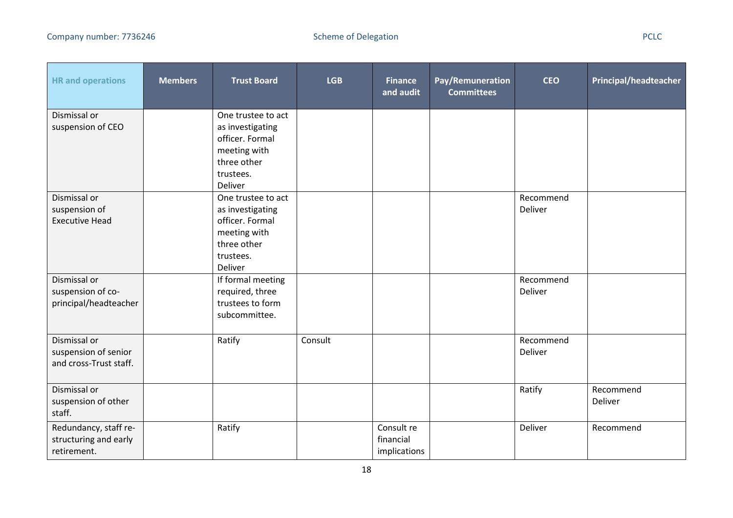المنابذ

| <b>HR</b> and operations                                       | <b>Members</b> | <b>Trust Board</b>                                                                                               | <b>LGB</b> | <b>Finance</b><br>and audit             | Pay/Remuneration<br><b>Committees</b> | <b>CEO</b>           | <b>Principal/headteacher</b> |
|----------------------------------------------------------------|----------------|------------------------------------------------------------------------------------------------------------------|------------|-----------------------------------------|---------------------------------------|----------------------|------------------------------|
| Dismissal or<br>suspension of CEO                              |                | One trustee to act<br>as investigating<br>officer. Formal<br>meeting with<br>three other<br>trustees.<br>Deliver |            |                                         |                                       |                      |                              |
| Dismissal or<br>suspension of<br><b>Executive Head</b>         |                | One trustee to act<br>as investigating<br>officer. Formal<br>meeting with<br>three other<br>trustees.<br>Deliver |            |                                         |                                       | Recommend<br>Deliver |                              |
| Dismissal or<br>suspension of co-<br>principal/headteacher     |                | If formal meeting<br>required, three<br>trustees to form<br>subcommittee.                                        |            |                                         |                                       | Recommend<br>Deliver |                              |
| Dismissal or<br>suspension of senior<br>and cross-Trust staff. |                | Ratify                                                                                                           | Consult    |                                         |                                       | Recommend<br>Deliver |                              |
| Dismissal or<br>suspension of other<br>staff.                  |                |                                                                                                                  |            |                                         |                                       | Ratify               | Recommend<br>Deliver         |
| Redundancy, staff re-<br>structuring and early<br>retirement.  |                | Ratify                                                                                                           |            | Consult re<br>financial<br>implications |                                       | Deliver              | Recommend                    |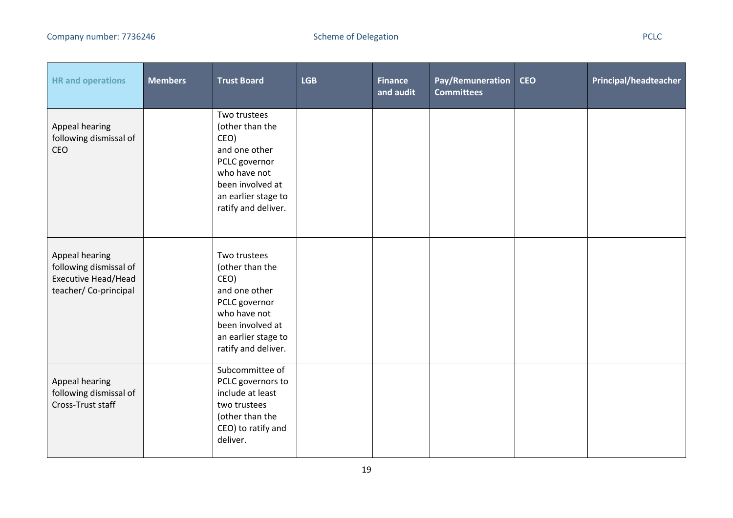| <b>HR</b> and operations                                                                       | <b>Members</b> | <b>Trust Board</b>                                                                                                                                          | <b>LGB</b> | <b>Finance</b><br>and audit | Pay/Remuneration<br><b>Committees</b> | <b>CEO</b> | <b>Principal/headteacher</b> |
|------------------------------------------------------------------------------------------------|----------------|-------------------------------------------------------------------------------------------------------------------------------------------------------------|------------|-----------------------------|---------------------------------------|------------|------------------------------|
| Appeal hearing<br>following dismissal of<br><b>CEO</b>                                         |                | Two trustees<br>(other than the<br>CEO)<br>and one other<br>PCLC governor<br>who have not<br>been involved at<br>an earlier stage to<br>ratify and deliver. |            |                             |                                       |            |                              |
| Appeal hearing<br>following dismissal of<br><b>Executive Head/Head</b><br>teacher/Co-principal |                | Two trustees<br>(other than the<br>CEO)<br>and one other<br>PCLC governor<br>who have not<br>been involved at<br>an earlier stage to<br>ratify and deliver. |            |                             |                                       |            |                              |
| Appeal hearing<br>following dismissal of<br>Cross-Trust staff                                  |                | Subcommittee of<br>PCLC governors to<br>include at least<br>two trustees<br>(other than the<br>CEO) to ratify and<br>deliver.                               |            |                             |                                       |            |                              |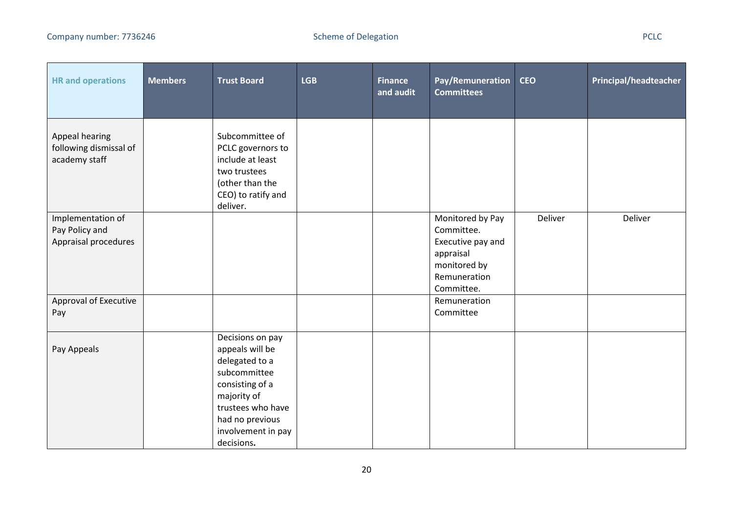| <b>HR</b> and operations                                    | <b>Members</b> | <b>Trust Board</b>                                                                                                                                                                  | <b>LGB</b> | <b>Finance</b><br>and audit | Pay/Remuneration<br><b>Committees</b>                                                                          | <b>CEO</b> | Principal/headteacher |
|-------------------------------------------------------------|----------------|-------------------------------------------------------------------------------------------------------------------------------------------------------------------------------------|------------|-----------------------------|----------------------------------------------------------------------------------------------------------------|------------|-----------------------|
| Appeal hearing<br>following dismissal of<br>academy staff   |                | Subcommittee of<br>PCLC governors to<br>include at least<br>two trustees<br>(other than the<br>CEO) to ratify and<br>deliver.                                                       |            |                             |                                                                                                                |            |                       |
| Implementation of<br>Pay Policy and<br>Appraisal procedures |                |                                                                                                                                                                                     |            |                             | Monitored by Pay<br>Committee.<br>Executive pay and<br>appraisal<br>monitored by<br>Remuneration<br>Committee. | Deliver    | Deliver               |
| Approval of Executive<br>Pay                                |                |                                                                                                                                                                                     |            |                             | Remuneration<br>Committee                                                                                      |            |                       |
| Pay Appeals                                                 |                | Decisions on pay<br>appeals will be<br>delegated to a<br>subcommittee<br>consisting of a<br>majority of<br>trustees who have<br>had no previous<br>involvement in pay<br>decisions. |            |                             |                                                                                                                |            |                       |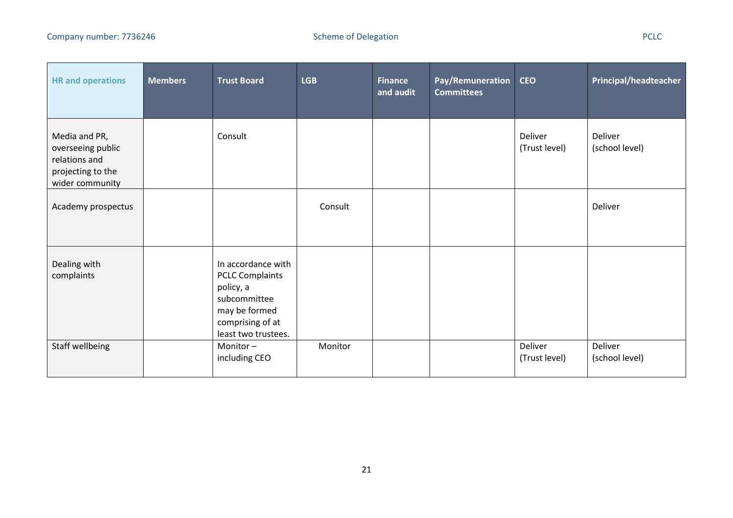| <b>HR and operations</b>                                                                    | <b>Members</b> | <b>Trust Board</b>                                                                                                                    | <b>LGB</b> | <b>Finance</b><br>and audit | Pay/Remuneration<br><b>Committees</b> | <b>CEO</b>               | Principal/headteacher     |
|---------------------------------------------------------------------------------------------|----------------|---------------------------------------------------------------------------------------------------------------------------------------|------------|-----------------------------|---------------------------------------|--------------------------|---------------------------|
| Media and PR,<br>overseeing public<br>relations and<br>projecting to the<br>wider community |                | Consult                                                                                                                               |            |                             |                                       | Deliver<br>(Trust level) | Deliver<br>(school level) |
| Academy prospectus                                                                          |                |                                                                                                                                       | Consult    |                             |                                       |                          | Deliver                   |
| Dealing with<br>complaints                                                                  |                | In accordance with<br><b>PCLC Complaints</b><br>policy, a<br>subcommittee<br>may be formed<br>comprising of at<br>least two trustees. |            |                             |                                       |                          |                           |
| Staff wellbeing                                                                             |                | Monitor-<br>including CEO                                                                                                             | Monitor    |                             |                                       | Deliver<br>(Trust level) | Deliver<br>(school level) |

- 11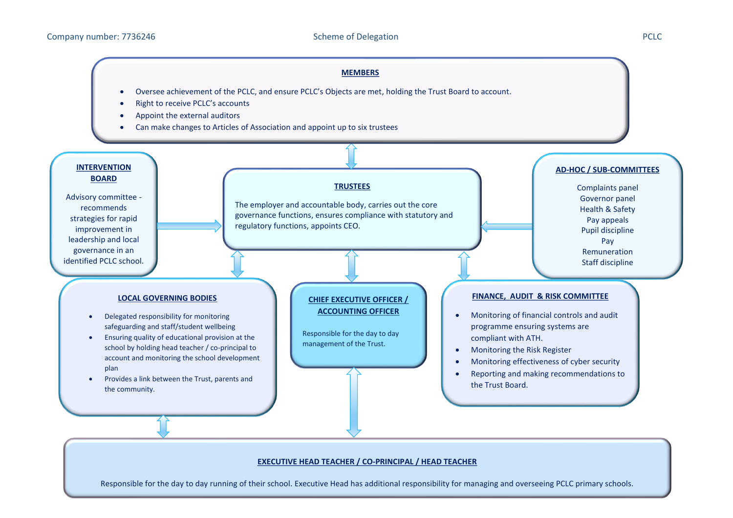## **MEMBERS**

- Oversee achievement of the PCLC, and ensure PCLC's Objects are met, holding the Trust Board to account.
- Right to receive PCLC's accounts
- Appoint the external auditors
- Can make changes to Articles of Association and appoint up to six trustees



## **EXECUTIVE HEAD TEACHER / CO-PRINCIPAL / HEAD TEACHER**

Responsible for the day to day running of their school. Executive Head has additional responsibility for managing and overseeing PCLC primary schools.